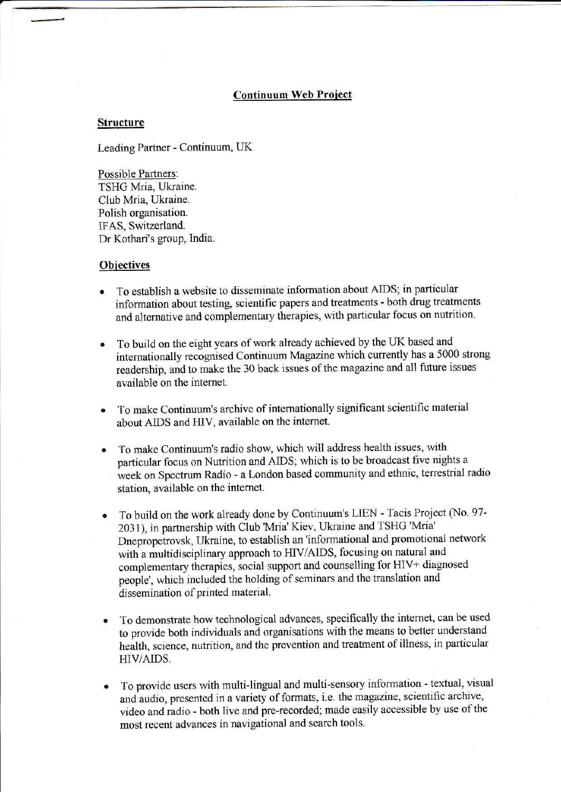## Continuum Web Project

## **Structure**

Leading Partner - Continuum, UK

Possible Partners: TSHG Mria, Ukraine. Club Mria, Ukraine. Polish organisation. IFAS, Switzerland. Dr Kothari's group, India.

## **Objectives**

- To establish a website to disseminate information about AIDS; in particular information about testing, scientific papers and treatments - both drug treatments and alternative and complementary therapies, with particular focus on nutrition.
- To build on the eight years of work already achieved by the UK based and internationally recognised Continuum Magazine which currently has a 5000 strong readership, and to make the 30 back issues of the magazine and all future issues available on the internet.
- To make Continuum's archive of internationally significant scientific material about AIDS and HIV, available on the internet.
- To make Continuum's radio show, which will address health issues, with particular focus on Nutrition and AIDS; which is to be broadcast five nights a week on Spectrum Radio - a London based community and ethnic, terrestrial radio station, available on the internet.
- To build on the work already done by Continuum's LIEN Tacis Project (No. 97-2031), in partnership with Club 'Mria' Kiev, Ukraine and TSHG 'Mria' Dnepropetrovsk, Ukraine, to establish an 'informational and promotional network with a multidisciplinary approach to HIV/AIDS, focusing on natural and complementary therapies, social support and counselling for HIV+ diagnosed people', which included the holding of seminars and the translation and dissemination of printed material.
- To demonstrate how technological advances, specifically the internet, can be used to provide both individuals and organisations with the means to better understand health, science, nutrition, and the prevention and treatment of illness, in particular HIV/AIDS,
- To provide users with multi-lingual and multi-sensory information textual, visual and audio, presented in a variety of formats, i.e. the magazine, scientific archive, video and radio - both live and pre-recorded; made easily accessible by use of the most recent advances in navigational and search tools.